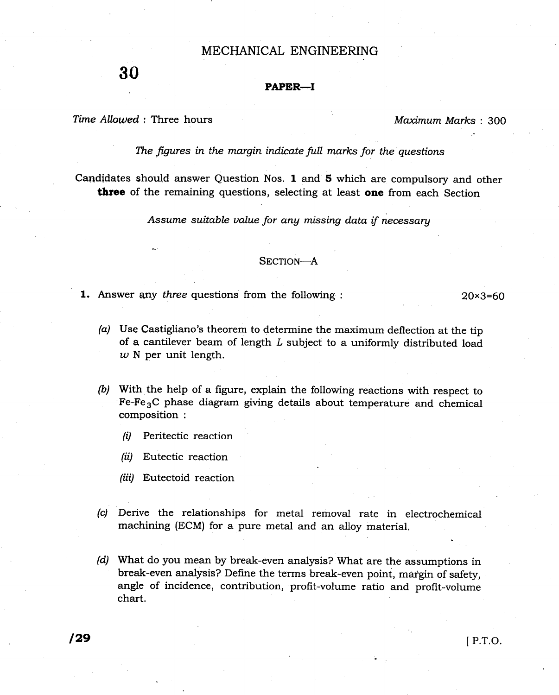# MECHANICAL ENGINEERING

### PAPER-I

Time Allowed : Three hours and the matrix of the Maximum Marks : 300

The figures in the margin indicate full marks for the questions

Candidates should answer Question Nos. I and 5 which are compulsory and other three of the remaining questions, selecting at least one from each Section

Assume suitable ualue for ang missing data if necessary

#### SECTION-A

**1.** Answer any *three* questions from the following :

2Ox3=60

- (a) Use Castigliano's theorem to determine the maximum deflection at the tip of a cantilever beam of length  $L$  subject to a uniformly distributed load  $w$  N per unit length.
- (b) With the help of a figure, explain the following reactions with respect to Fe-Fe3C phase diagram giving details about temperature and chemical composition :

 $(ii)$  Peritectic reaction

(ii) Eutectic reaction

- (iii) Eutectoid reaction
- (c) Derive the relationships for metal removal rate in electrochemical machining (ECM) for a pure metal and an alloy material.
- (d) what do you mean by break-even analysis? what are the assumptions in break-even analysis? Define the terms break-even point, margin of safety, angle of incidence, contribution, profit-volume ratio and profit-volume chart.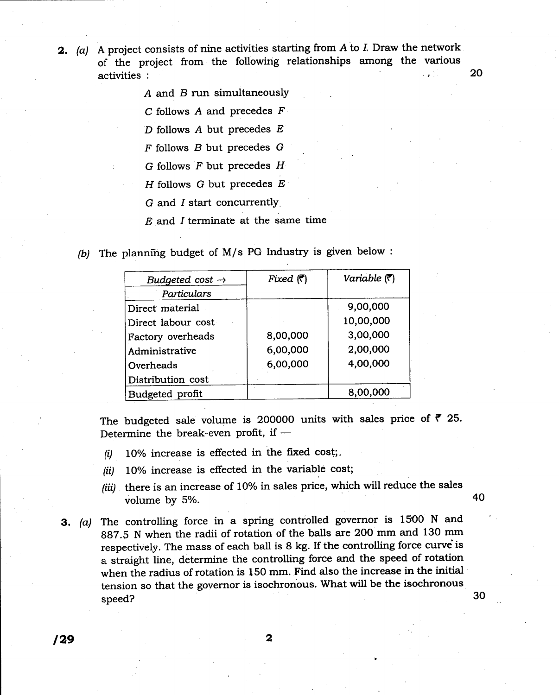**2.** (a) A project consists of nine activities starting from A to I. Draw the network of the project from the following relationships among the various activities : 20

A and B run simultaneously

 $C$  follows  $A$  and precedes  $F$ 

 $D$  follows  $A$  but precedes  $E$ 

 $F$  follows  $B$  but precedes  $G$ 

 $G$  follows  $F$  but precedes  $H$ 

 $H$  follows  $G$  but precedes  $E$ 

G and I start concurrentlY.

 $E$  and  $I$  terminate at the same time

(b) The planning budget of  $M/s$  PG Industry is given below :

| Budgeted cost $\rightarrow$ | Fixed $(\bar{r})$ | Variable $(\vec{\tau})$ |
|-----------------------------|-------------------|-------------------------|
| Particulars                 |                   |                         |
| Direct material             |                   | 9,00,000                |
| Direct labour cost          |                   | 10,00,000               |
| Factory overheads           | 8,00,000          | 3,00,000                |
| Administrative              | 6,00,000          | 2,00,000                |
| Overheads                   | 6,00,000          | 4,00,000                |
| Distribution cost           |                   |                         |
| Budgeted profit             |                   | 8,00,000                |

The budgeted sale volume is 200000 units with sales price of  $\bar{f}$  25. Determine the break-even profit, if -

- $(i)$  10% increase is effected in the fixed cost;
- $(ii)$  10% increase is effected in the variable cost;
- (iii) there is an increase of 10% in sales price, which will reduce the sales volume by 5%.
- 3. (a) The controlling force in a spring controlled governor is 1500 N and 832.5 N when the radii of rotation of the balls are 2O0 mm and 130 mm respectively. The mass of each ball is 8 kg. If the controlling force curve is a straight line, determine the controlling force and the speed of rotation when the radius of rotation is 150 mm. Find also the increase in the initial tension so that the governor is isochronous. What will be the isochronous speed?

30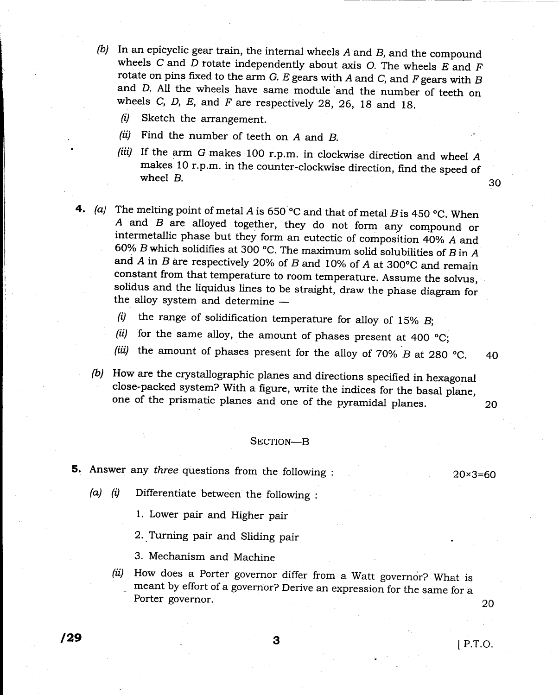- (b) In an epicyclic gear train, the internal wheels  $A$  and  $B$ , and the compound wheels  $C$  and  $D$  rotate independently about axis  $O$ . The wheels  $E$  and  $F$ rotate on pins fixed to the arm G.  $E$  gears with A and C, and F gears with B and D. All the wheels have same module and the number of teeth on wheels C, D, E, and F are respectively 28, 26, 18 and 18.
	- $(i)$  Sketch the arrangement.
	- (ii) Find the number of teeth on A and B.
	- (iii) If the arm G makes 100 r.p.m. in clockwise direction and wheel  $A$ makes 10 r.p.m. in the counter-clockwise direction, find the speed of wheel B. 30
- 4. (a) The melting point of metal A is 650 °C and that of metal B is 450 °C. When A and B are alloyed together, they do not form any compound or intermetallic phase but they form an eutectic of composition 40% A and 60% B which solidifies at 300 °C. The maximum solid solubilities of B in A and A in B are respectively 20% of B and 10% of A at 300°C and remain constant from that temperature to room temperature. Assume the solvus, solidus and the liquidus lines to be straight, draw the phase diagram for the alloy system and determine -
	- (i) the range of solidification temperature for alloy of 15%  $B$ ;
	- (ii) for the same alloy, the amount of phases present at 400  $°C$ ;
	- (iii) the amount of phases present for the alloy of 70%  $B$  at 280 °C. 40
	- (b) How are the crystallographic planes and directions specified in hexagonal close-packed system? With a figure, write the indices for the basal plane, one of the prismatic planes and one of the pyramidal planes.

### SECTION-B

- 5. Answer any three questions from the following :
	- (a)  $(i)$  Differentiate between the following :
		- l. Lower pair and Higher pair

2..Turning pair and Sliding pair

3. Mechanism and Machine

(ii) How does a Porter governor differ from a Watt governor? What is meant by effort of a governor? Derive an expression for the same for a Porter governor. 20

20

2Ox3=60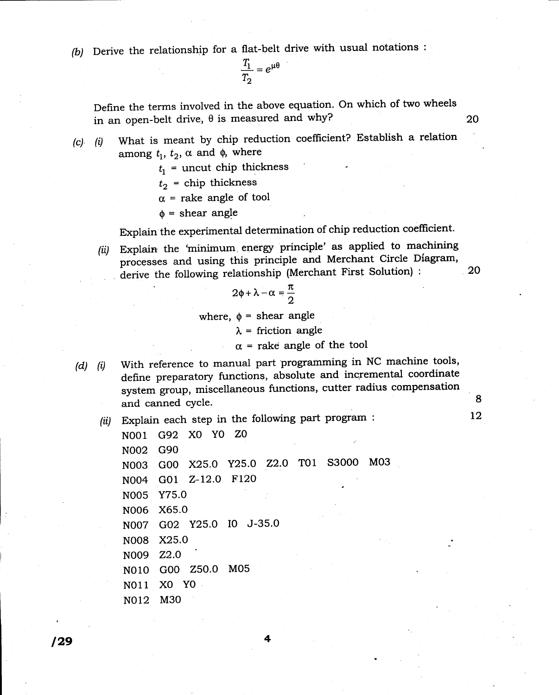(b) Derive the relationship for a flat-belt drive with usual notations :

$$
\frac{T_1}{T_2}=e^{\mu\theta}
$$

Define the terms involved in the above equation. on which of two wheels in an open-belt drive,  $\theta$  is measured and why?

- $(c)$   $(i)$ What is meant by chip reduction coefficient? Establish a relation among  $t_1$ ,  $t_2$ ,  $\alpha$  and  $\phi$ , where
	- $t_1$  = uncut chip thickness
	- $t_2$  = chip thickness

 $\alpha$  = rake angle of tool

 $\phi$  = shear angle

Erplain the experimental determination of chip reduction coefficient.

(ii) Explain the 'minimum energy principle' as applied to machining processes and using this principle and Merchant circle Diagram, . derive the following relationship (Merchant First Solution) :

$$
2\phi+\lambda-\alpha=\frac{\pi}{2}
$$

where,  $\phi$  = shear angle

 $\lambda$  = friction angle

 $\alpha$  = rake angle of the tool

- With reference to manual part programming in NC machine tools, define preparatory functions, absolute and incremental coordinate system group, miscellaneous functions, cutter radius compensation and canned cycle.  $(d)$   $(i)$ 
	- (ii) Explain each step in the following part program :

8

20

20

12

NOO1 G92 XO Y0 zo NO02 G90 NO03 G00 x25.o Y25.0 Z2.O T01 53000 M03 N004 G01 Z-t2.O F120 N005 Y75.0 N006 x65.0 N007 Go2 Y25.0 r0 J-35.0 N008 x25.0 NO09 Z2.0 N010 G00 Z50.0 M05 N011 X0 Y0 N012 M30

 $\sqrt{29}$  4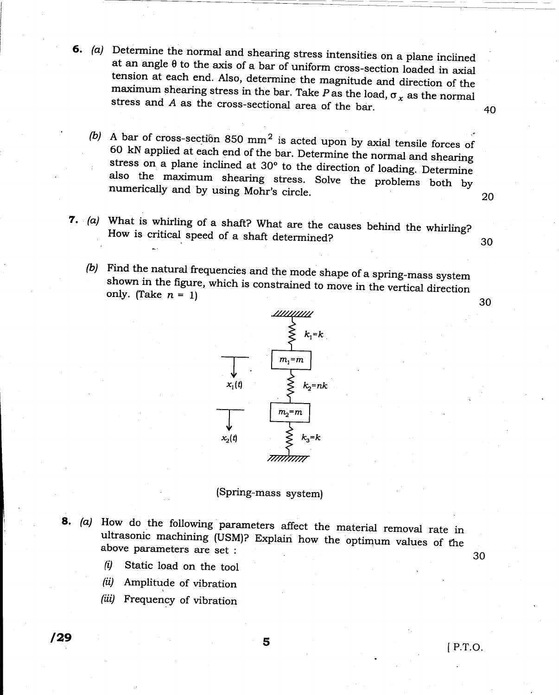6. (a) Determine the normal and shearing stress intensities on a plane inclined at an angle  $\theta$  to the axis of a bar of uniform cross-section loaded in axial<br>tension at each end. Also, determine the magnitude and direction of the<br>maximum shearing stress in the bar. Take P as the load,  $\sigma_x$  as the n

40

20

30

30

- 60 kN applied at each end of the bar. Determine the normal and shearing stress on a plane inclined at  $30^{\circ}$  to the direction of loading. Determine also the maximum shearing stress. Solve the problems both by numericall (b) A bar of cross-section 850 mm<sup>2</sup> is acted upon by axial tensile forces of
- 7, (a) what is whirling of a shaft? what are the causes behind the whirling? How is critical. speed of a shaft determined?
	- shown in the figure, which is constrained to move in the vertical direction only. (Take  $n=1$ ) (b) Find the natural frequencies and the mode shape of a spring-mass system



- (Spring\_mass system)
- 8. (a) How do the following parameters affect the material removal ultrasonic machining (USM)? Explain how the optimum values above parameters are set : rate in ultrasonic machining (USM)? Explain how the optimum values of the

30

- $(i)$  Static load on the tool
- (ii) Amplitude of vibration
- (iii) Frequency of vibration

l2e

5

lP.T.o.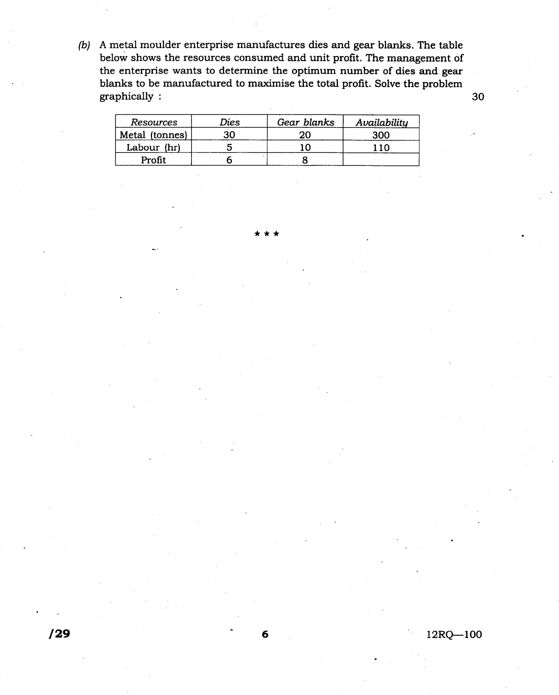A metal moulder enterprise manufactures dies and gear blanks. The table below shows the resources consumed and unit profit. The management of the enterprise wants to determine the optimum number of dies and gear blanks to be manufactured to maximise the total profit. Solve the problem graphically :

| <b>Resources</b> | Dies | Gear blanks | Availability |
|------------------|------|-------------|--------------|
| Metal (tonnes)   | 30   | 20          | 300          |
| Labour (hr)      |      |             |              |
| Profit           |      |             |              |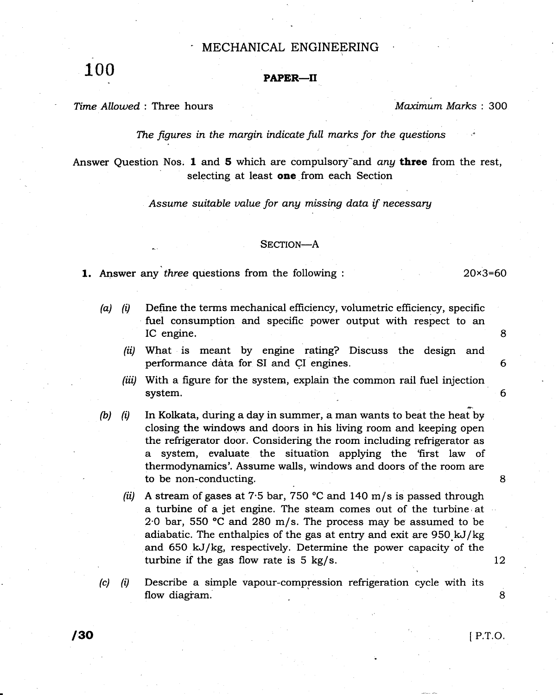# MECHANICAL ENGINEERING

100

### PAPER-II

Time Allowed: Three hours

Maximum Marks: 300

20x3=60

8

6

6

8

The figures in the margin indicate full marks for the questions

Answer Question Nos. 1 and 5 which are compulsory<sup>-</sup>and *any* three from the rest, selecting at least one from each Section

Assume suitable value for any missing data if necessary

### SECTION-A

- **1.** Answer any *three* questions from the following :
	- (a)  $\ddot{\theta}$  Define the terms mechanical efficiency, volumetric efficiency, specific fuel consumption and specific power output with respect to an IC engine.
		- (ii) What is meant by engine rating? Discuss the design and performance data for SI and CI engines.
		- (iii) With a figure for the system, explain the common rail fuel injection system.
	- $(b)$   $(i)$ In Kolkata, during a day in summer, a man wants to beat the heat by closing the windows and doors in his living room and keeping open the refrigerator door. Considering the room including refrigerator as a system, evaluate the situation applying the 'first law of thermodynamics'. Assume walls, windows and doors of the room are to be non-conducting.
		- (ii) A stream of gases at 7.5 bar, 750  $^{\circ}$ C and 140 m/s is passed through a turbine of a jet engine. The steam comes out of the turbine at 2<sup>.</sup>0 bar, 550 °C and 280 m/s. The process may be assumed to be adiabatic. The enthalpies of the gas at entry and exit are 950.kJ/kg and 650 kJ /kg, respectively. Determine the power capacity of the turbine if the gas flow rate is 5 kg/s.
	- Describe a simple vapour-compression refrigeration cycle with its flow diagram.  $(c)$   $(i)$

8

I P.T.O.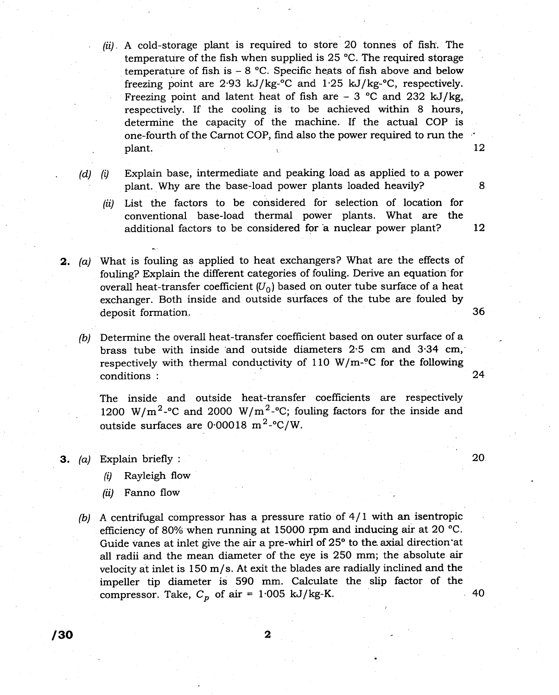- $(ii)$ . A cold-storage plant is required to store 20 tonnes of fish. The temperature of the fish when supplied is  $25$  °C. The required storage temperature of fish is  $-8$  °C. Specific heats of fish above and below freezing point are  $2.93 \text{ kJ/kg}$ <sup>o</sup>C and  $1.25 \text{ kJ/kg}$ <sup>o</sup>C, respectively. Freezing point and latent heat of fish are  $-3$  °C and 232 kJ/kg, respectively. If the cooiing is to be achieved within 8 hours, determine the capacity of the machine. If the actual COP is one-fourth of the Carnot COP, find also the power required to run the plant.
- Explain base, intermediate and peaking load as applied to a power plant. Why are the base-load power plants loaded heavily?  $(d)$   $(i)$ 
	- List the factors to be considered for selection of location for conventional base-load thermal power plants. What are the additional factors to be considered for a nuclear power plant? (it)
- 2. (a) What is fouling as applied to heat exchangers? What are the effects of fouling? Explain the different categories of fouling. Derive an equation'for overall heat-transfer coefficient  $(U_0)$  based on outer tube surface of a heat exchanger. Both inside and outside surfaces of the tube are fouled by deposit formation.
	- (b)  $\,$  Determine the overall heat-transfer coefficient based on outer surface of a brass tube with inside and outside diameters  $2.5$  cm and  $3.34$  cm, respectively with thermal conductivity of 110 W/m- $\degree$ C for the following conditions :

The inside and outside heat-transfer coefficients are respectively 1200 W/m<sup>2</sup>-°C and 2000 W/m<sup>2</sup>-°C; fouling factors for the inside and outside surfaces are  $0.00018 \text{ m}^2$ -°C/W.

- 3. (a) Explain briefly :
	- $(i)$  Rayleigh flow
	- (ii) Fanno flow
	- (b) A centrifugal compressor has a pressure ratio of  $4/1$  with an isentropic efficiency of 80% when running at 15000 rpm and inducing air at 20  $^{\circ}$ C. Guide vanes at inlet give the air a pre-whirl of 25" to the axial direction'at all radii and the mean diameter of the eye is 250 mm; the absolute air velocity at inlet is 150 m/s. At exit the blades are radially inclined and the impeller tip diameter is 590 mm. Calculate the slip factor of the compressor. Take,  $C_p$  of air = 1.005 kJ/kg-K.

13'o

 $\overline{\mathbf{2}}$ 

20

40

12

8

12

36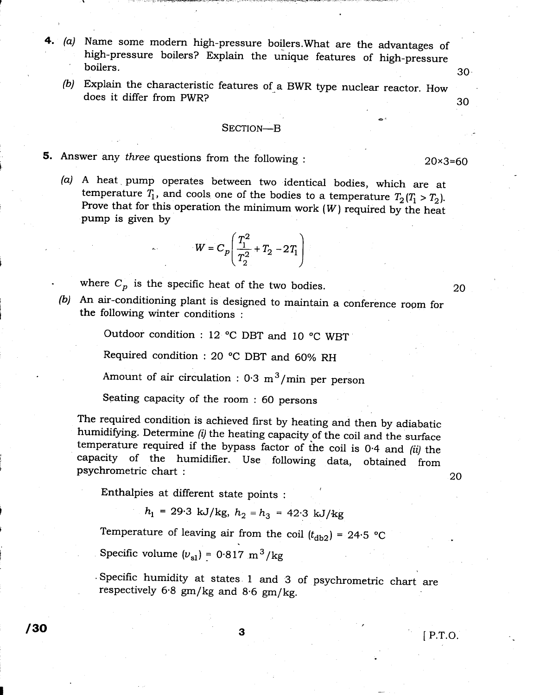- 4 (a) Name some modern high-pressure boilers.What are the advantages of high-pressure boilers? Explain the unique features of high-pressure boilers.
	- (b) Explain the characteristic features of a BWR type nuclear reactor. How does it differ from PWR? 30

### SECTION-B

- 5. Answer any three questions from the following :
	- (a) A heat pump operates between two identical bodies, which are at temperature  $T_1$ , and cools one of the bodies to a temperature  $T_2(T_1 > T_2)$ . Prove that for this operation the minimum work  $(W)$  required by the heat pump is given by

$$
W = C_p \left( \frac{T_1^2}{T_2^2} + T_2 - 2T_1 \right)
$$

where  $C_p$  is the specific heat of the two bodies. 20

(b) An air-conditioning plant is designed to maintain a conference room for the following winter conditions :

Outdoor condition : 12 °C DBT and 10 °C WBT

Required condition : 2O "C DBT and 60% RH

Amount of air circulation :  $0.3 \text{ m}^3/\text{min}$  per person

Seating capacity of the room : 60 persons

The required condition is achieved first by heating and then by adiabatic humidifying. Determine  $(i)$  the heating capacity of the coil and the surface temperature required if the bypass factor of the coil is 0.4 and (ii) the capacity of the humidifier. Use following data, obtained from psychrometric chart :  $20$ 

!

Enthalpies at different state points :

 $h_1 = 29.3 \text{ kJ/kg}, h_2 = h_3 = 42.3 \text{ kJ/kg}$ 

Temperature of leaving air from the coil  $(t_{db2}) = 24.5$  °C

Specific volume  $(v_{\rm sl}) = 0.817 \text{ m}^3/\text{kg}$ 

' specific humidity at states 1 and 3 of psychrometric chart are respectively 6.8 gm/kg and g.6 em/ke.

30

20x3=60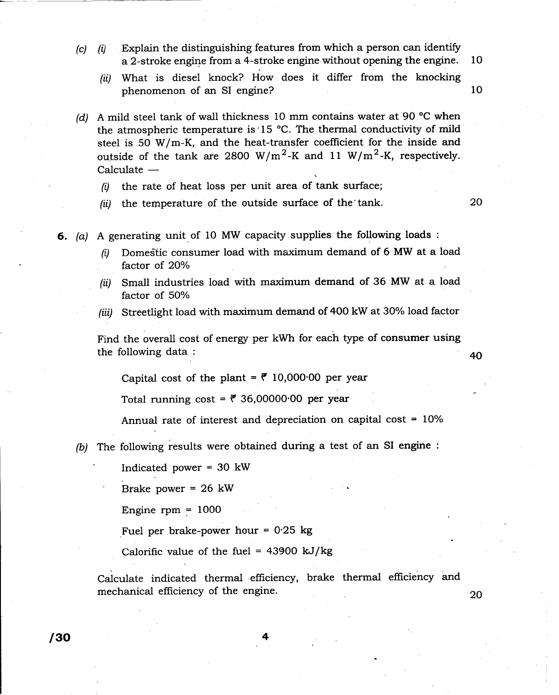- $(c)$  (i) Explain the distinguishing features from which a person can identify a 2-stroke engine from a 4-stroke engine without opening the engine. <sup>10</sup>
	- (ii) What is diesel knock? How does it differ from the knocking phenomenon of an SI engine? 10
- (d) A mild steel tank of wall thickness 10 mm contains water at 90  $^{\circ}$ C when the atmospheric temperature is'15 "C. The thermal conductivity of mild steel is 50 W/m-K, and the heat-transfer coeflicient for the inside and outside of the tank are 2800 W/m<sup>2</sup>-K and 11 W/m<sup>2</sup>-K, respectively. Calculate -
	- $(i)$  the rate of heat loss per unit area of tank surface;
	- $(iii)$  the temperature of the outside surface of the tank.  $20$
- 6. (a) A generating unit of 10 MW capacity supplies the following loads :
	- $(i)$  Domestic consumer load with maximum demand of 6 MW at a load factor of 20%
	- (ii) Small industries load with maximum demand of 36 MW at a load factor of 50%
	- (iii) Streetlight load with maximum demand of 4OO kW at 3O% load factor

Find the overall cost of energy per kWh for each type of consumer using the following data :  $40$ 

Capital cost of the plant =  $\bar{e}$  10,000.00 per year

Total running cost =  $\bar{\tau}$  36,00000.00 per year

Annual rate of interest and depreciation on capital cost =  $10\%$ 

(b) The following results were obtained during a test of an SI engine :

Indicated power =  $30$  kW

Brake power =  $26$  kW

Engine rpm  $= 1000$ 

Fuel per brake-power hour =  $0.25$  kg

Calorific value of the fuel =  $43900 \text{ kJ/kg}$ 

Calculate indicated thermal efficiency, brake thermal efficiency and mechanical efficiency of the engine. 20 and 20 and 20 and 20 and 20 and 20 and 20 and 20 and 20 and 20 and 20 and 20 and 20 and 20 and 20 and 20 and 20 and 20 and 20 and 20 and 20 and 20 and 20 and 20 and 20 and 20 and 20